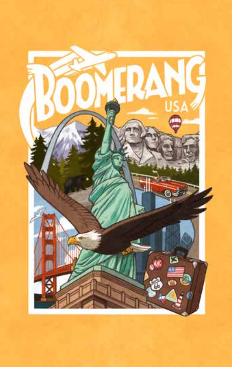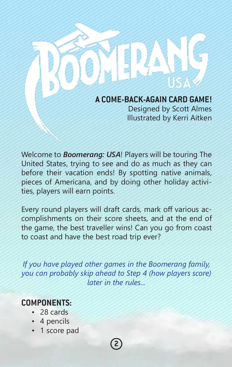**A COME-BACK-AGAIN CARD GAME!** Designed by Scott Almes Illustrated by Kerri Aitken

Welcome to *Boomerang: USA*! Players will be touring The United States, trying to see and do as much as they can before their vacation ends! By spotting native animals, pieces of Americana, and by doing other holiday activities, players will earn points.

Every round players will draft cards, mark off various accomplishments on their score sheets, and at the end of the game, the best traveller wins! Can you go from coast to coast and have the best road trip ever?

*If you have played other games in the Boomerang family, you can probably skip ahead to Step 4 (how players score) later in the rules...*

**2**

## **COMPONENTS:**

- 28 cards
- 4 pencils
- 1 score pad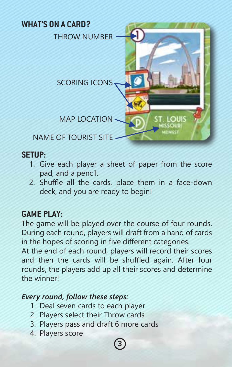

## **SETUP:**

- 1. Give each player a sheet of paper from the score pad, and a pencil.
- 2. Shuffle all the cards, place them in a face-down deck, and you are ready to begin!

# **GAME PLAY:**

The game will be played over the course of four rounds. During each round, players will draft from a hand of cards in the hopes of scoring in five different categories.

At the end of each round, players will record their scores and then the cards will be shuffled again. After four rounds, the players add up all their scores and determine the winner!

## *Every round, follow these steps:*

- 1. Deal seven cards to each player
- 2. Players select their Throw cards
- 3. Players pass and draft 6 more cards
- 4. Players score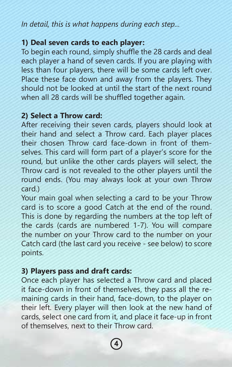*In detail, this is what happens during each step...*

## **1) Deal seven cards to each player:**

To begin each round, simply shuffle the 28 cards and deal each player a hand of seven cards. If you are playing with less than four players, there will be some cards left over. Place these face down and away from the players. They should not be looked at until the start of the next round when all 28 cards will be shuffled together again.

### **2) Select a Throw card:**

After receiving their seven cards, players should look at their hand and select a Throw card. Each player places their chosen Throw card face-down in front of themselves. This card will form part of a player's score for the round, but unlike the other cards players will select, the Throw card is not revealed to the other players until the round ends. (You may always look at your own Throw card.)

Your main goal when selecting a card to be your Throw card is to score a good Catch at the end of the round. This is done by regarding the numbers at the top left of the cards (cards are numbered 1-7). You will compare the number on your Throw card to the number on your Catch card (the last card you receive - see below) to score points.

## **3) Players pass and draft cards:**

Once each player has selected a Throw card and placed it face-down in front of themselves, they pass all the remaining cards in their hand, face-down, to the player on their left. Every player will then look at the new hand of cards, select one card from it, and place it face-up in front of themselves, next to their Throw card.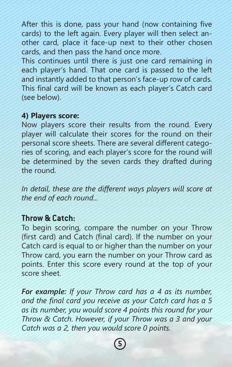After this is done, pass your hand (now containing five cards) to the left again. Every player will then select another card, place it face-up next to their other chosen cards, and then pass the hand once more.

This continues until there is just one card remaining in each player's hand. That one card is passed to the left and instantly added to that person's face-up row of cards. This final card will be known as each player's Catch card (see below).

#### **4) Players score:**

Now players score their results from the round. Every player will calculate their scores for the round on their personal score sheets. There are several different categories of scoring, and each player's score for the round will be determined by the seven cards they drafted during the round.

*In detail, these are the different ways players will score at the end of each round...*

### **Throw & Catch:**

To begin scoring, compare the number on your Throw (first card) and Catch (final card). If the number on your Catch card is equal to or higher than the number on your Throw card, you earn the number on your Throw card as points. Enter this score every round at the top of your score sheet.

*For example: If your Throw card has a 4 as its number, and the final card you receive as your Catch card has a 5 as its number, you would score 4 points this round for your Throw & Catch. However, if your Throw was a 3 and your Catch was a 2, then you would score 0 points.*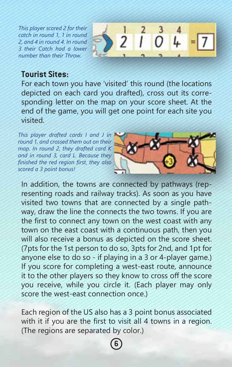*This player scored 2 for their catch in round 1, 1 in round 2, and 4 in round 4. In round 3 their Catch had a lower number than their Throw.*



# **Tourist Sites:**

For each town you have 'visited' this round (the locations depicted on each card you drafted), cross out its corresponding letter on the map on your score sheet. At the end of the game, you will get one point for each site you visited.

*This player drafted cards I and J in round 1, and crossed them out on their map. In round 2, they drafted card K and in round 3, card L. Because they finished the red region first, they also scored a 3 point bonus!*



In addition, the towns are connected by pathways (representing roads and railway tracks). As soon as you have visited two towns that are connected by a single pathway, draw the line the connects the two towns. If you are the first to connect any town on the west coast with any town on the east coast with a continuous path, then you will also receive a bonus as depicted on the score sheet. (7pts for the 1st person to do so, 3pts for 2nd, and 1pt for anyone else to do so - if playing in a 3 or 4-player game.) If you score for completing a west-east route, announce it to the other players so they know to cross off the score you receive, while you circle it. (Each player may only score the west-east connection once.)

Each region of the US also has a 3 point bonus associated with it if you are the first to visit all 4 towns in a region. (The regions are separated by color.)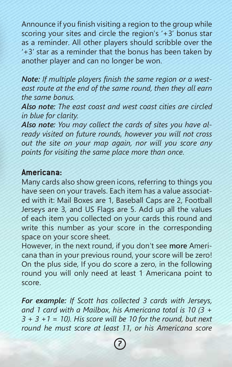Announce if you finish visiting a region to the group while scoring your sites and circle the region's '+3' bonus star as a reminder. All other players should scribble over the '+3' star as a reminder that the bonus has been taken by another player and can no longer be won.

*Note: If multiple players finish the same region or a westeast route at the end of the same round, then they all earn the same bonus.*

*Also note: The east coast and west coast cities are circled in blue for clarity.*

*Also note: You may collect the cards of sites you have already visited on future rounds, however you will not cross out the site on your map again, nor will you score any points for visiting the same place more than once.*

### **Americana:**

Many cards also show green icons, referring to things you have seen on your travels. Each item has a value associated with it: Mail Boxes are 1, Baseball Caps are 2, Football Jerseys are 3, and US Flags are 5. Add up all the values of each item you collected on your cards this round and write this number as your score in the corresponding space on your score sheet.

However, in the next round, if you don't see **more** Americana than in your previous round, your score will be zero! On the plus side, If you do score a zero, in the following round you will only need at least 1 Americana point to score.

*For example: If Scott has collected 3 cards with Jerseys, and 1 card with a Mailbox, his Americana total is 10 (3 + 3 + 3 +1 = 10). His score will be 10 for the round, but next round he must score at least 11, or his Americana score*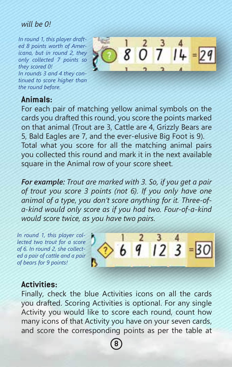#### *will be 0!*

*In round 1, this player drafted 8 points worth of Americana, but in round 2, they only collected 7 points so they scored 0! In rounds 3 and 4 they continued to score higher than the round before.*



### **Animals:**

For each pair of matching yellow animal symbols on the cards you drafted this round, you score the points marked on that animal (Trout are 3, Cattle are 4, Grizzly Bears are 5, Bald Eagles are 7, and the ever-elusive Big Foot is 9). Total what you score for all the matching animal pairs you collected this round and mark it in the next available square in the Animal row of your score sheet.

*For example: Trout are marked with 3. So, if you get a pair of trout you score 3 points (not 6). If you only have one animal of a type, you don't score anything for it. Three-ofa-kind would only score as if you had two. Four-of-a-kind would score twice, as you have two pairs.*

*In round 1, this player collected two trout for a score of 6. In round 2, she collected a pair of cattle and a pair of bears for 9 points!*



### **Activities:**

Finally, check the blue Activities icons on all the cards you drafted. Scoring Activities is optional. For any single Activity you would like to score each round, count how many icons of that Activity you have on your seven cards, and score the corresponding points as per the table at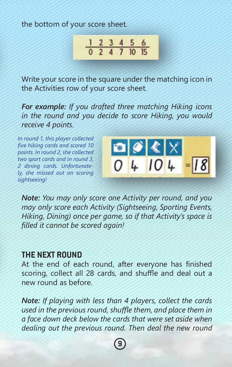the bottom of your score sheet.



Write your score in the square under the matching icon in the Activities row of your score sheet.

*For example: If you drafted three matching Hiking icons in the round and you decide to score Hiking, you would receive 4 points.*

*In round 1, this player collected five hiking cards and scored 10 points. In round 2, she collected two sport cards and in round 3, 2 dining cards. Unfortunately, she missed out on scoring sightseeing!*



*Note: You may only score one Activity per round, and you may only score each Activity (Sightseeing, Sporting Events, Hiking, Dining) once per game, so if that Activity's space is filled it cannot be scored again!*

#### **THE NEXT ROUND**

At the end of each round, after everyone has finished scoring, collect all 28 cards, and shuffle and deal out a new round as before.

*Note: If playing with less than 4 players, collect the cards used in the previous round, shuffle them, and place them in a face down deck below the cards that were set aside when dealing out the previous round. Then deal the new round*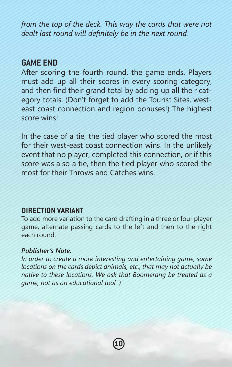*from the top of the deck. This way the cards that were not dealt last round will definitely be in the next round.*

#### **GAME END**

After scoring the fourth round, the game ends. Players must add up all their scores in every scoring category, and then find their grand total by adding up all their category totals. (Don't forget to add the Tourist Sites, westeast coast connection and region bonuses!) The highest score wins!

In the case of a tie, the tied player who scored the most for their west-east coast connection wins. In the unlikely event that no player, completed this connection, or if this score was also a tie, then the tied player who scored the most for their Throws and Catches wins.

#### **DIRECTION VARIANT**

To add more variation to the card drafting in a three or four player game, alternate passing cards to the left and then to the right each round.

#### *Publisher's Note:*

*In order to create a more interesting and entertaining game, some locations on the cards depict animals, etc., that may not actually be native to these locations. We ask that Boomerang be treated as a game, not as an educational tool :)*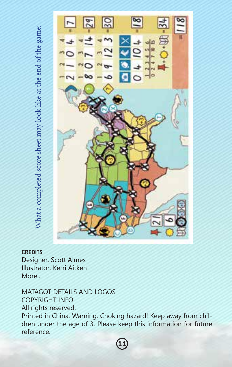

#### **CREDITS**

Designer: Scott Almes Illustrator: Kerri Aitken More...

MATAGOT DETAILS AND LOGOS COPYRIGHT INFO All rights reserved. Printed in China. Warning: Choking hazard! Keep away from children under the age of 3. Please keep this information for future reference.